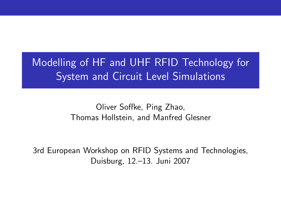Modelling of HF and UHF RFID Technology for **System and Circuit Level Simulations** 

## Oliver Soffke, Ping Zhao, Thomas Hollstein, and Manfred Glesner

3rd European Workshop on RFID Systems and Technologies, Duisburg, 12.–13. Juni 2007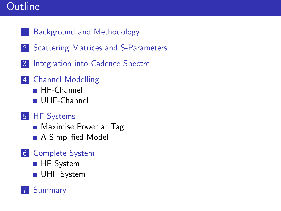## **Outline**

- 1 [Background and Methodology](#page-2-0)
- 2 [Scattering Matrices and S-Parameters](#page-3-0)
- 3 [Integration into Cadence Spectre](#page-4-0)
- 4 [Channel Modelling](#page-8-0)
	- **[HF-Channel](#page-8-0)**
	- [UHF-Channel](#page-9-0)
- 5 [HF-Systems](#page-10-0)
	- **[Maximise Power at Tag](#page-10-0)**
	- **A** Simplified Model
- 6 [Complete System](#page-14-0)
	- **HF** System
	- **UHF** System

## **[Summary](#page-22-0)**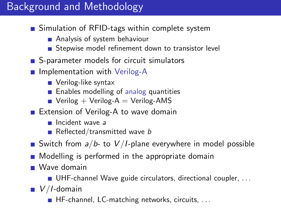## Background and Methodology

- Simulation of RFID-tags within complete system
	- Analysis of system behaviour
	- Stepwise model refinement down to transistor level
- S-parameter models for circuit simulators
- **Implementation with Verilog-A** 
	- Verilog-like syntax
	- **Enables modelling of analog quantities**
	- $\blacksquare$  Verilog + Verilog-A = Verilog-AMS
- Extension of Verilog-A to wave domain
	- Incident wave a
	- Reflected/transmitted wave b
- Switch from  $a/b$  to  $V/I$ -plane everywhere in model possible
- **Modelling is performed in the appropriate domain**
- Wave domain
	- UHF-channel Wave guide circulators, directional coupler, ...
- <span id="page-2-0"></span> $V/I$ -domain
	- HF-channel, LC-matching networks, circuits, . . .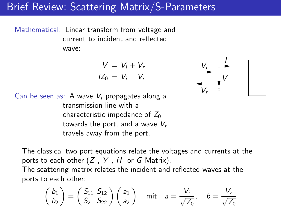## Brief Review: Scattering Matrix/S-Parameters

Mathematical: Linear transform from voltage and current to incident and reflected wave:

$$
V = V_i + V_r
$$
  

$$
IZ_0 = V_i - V_r
$$



Can be seen as: A wave  $V_i$  propagates along a transmission line with a characteristic impedance of  $Z_0$ towards the port, and a wave  $V_r$ travels away from the port.

The classical two port equations relate the voltages and currents at the ports to each other  $(Z-, Y-, H-$  or  $G$ -Matrix).

<span id="page-3-0"></span>The scattering matrix relates the incident and reflected waves at the ports to each other:

$$
\begin{pmatrix} b_1 \\ b_2 \end{pmatrix} = \begin{pmatrix} S_{11} & S_{12} \\ S_{21} & S_{22} \end{pmatrix} \begin{pmatrix} a_1 \\ a_2 \end{pmatrix}
$$
 mit  $a = \frac{V_i}{\sqrt{Z_0}}$ ,  $b = \frac{V_r}{\sqrt{Z_0}}$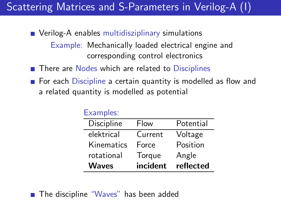# Scattering Matrices and S-Parameters in Verilog-A (I)

- Verilog-A enables multidisziplinary simulations Example: Mechanically loaded electrical engine and corresponding control electronics
- There are Nodes which are related to Disciplines
- For each Discipline a certain quantity is modelled as flow and a related quantity is modelled as potential

| Lauripics.   |          |           |
|--------------|----------|-----------|
| Discipline   | Flow     | Potential |
| elektrical   | Current  | Voltage   |
| Kinematics   | Force    | Position  |
| rotational   | Torque   | Angle     |
| <b>Waves</b> | incident | reflected |

## <span id="page-4-0"></span>■ The discipline "Waves" has been added

Examples: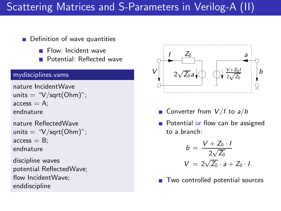# Scattering Matrices and S-Parameters in Verilog-A (II)

### **Definition of wave quantities**

- Flow: Incident wave
- Potential: Reflected wave

#### mydisciplines.vams

```
nature IncidentWave
units = "V/sqrt(Ohm)";
access = A:
endnature
```

```
nature ReflectedWave
units = "V/sqrt(Ohm)";
access = B;
endnature
```
discipline waves potential ReflectedWave; flow IncidentWave; enddiscipline



- Converter from  $V/I$  to  $a/b$
- **Potential or flow can be assigned** to a branch:

$$
b = \frac{V + Z_0 \cdot I}{2\sqrt{Z_0}}
$$

$$
V = 2\sqrt{Z_0} \cdot a + Z_0 \cdot I
$$

■ Two controlled potential sources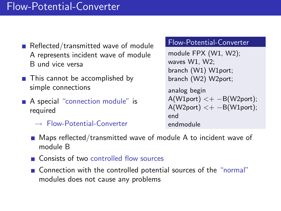## Flow-Potential-Converter

- Reflected/transmitted wave of module A represents incident wave of module B und vice versa
- This cannot be accomplished by simple connections
- A special "connection module" is required
	- $\rightarrow$  Flow-Potential-Converter

#### Flow-Potential-Converter

module FPX (W1, W2); waves W1, W2; branch (W1) W1port; branch (W2) W2port; analog begin  $A(W1port) < + -B(W2port);$  $A(W2port) < + -B(W1port);$ end endmodule

- Maps reflected/transmitted wave of module A to incident wave of module B
- Consists of two controlled flow sources
- Connection with the controlled potential sources of the "normal" modules does not cause any problems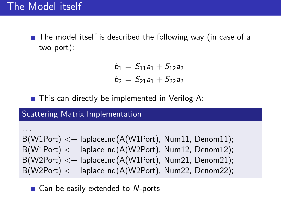$\blacksquare$  The model itself is described the following way (in case of a two port):

$$
b_1 = S_{11}a_1 + S_{12}a_2
$$
  

$$
b_2 = S_{21}a_1 + S_{22}a_2
$$

■ This can directly be implemented in Verilog-A:

Scattering Matrix Implementation

. . .  $B(W1Port) < +$  laplace\_nd(A(W1Port), Num11, Denom11);  $B(W1Port) < +$  laplace\_nd(A(W2Port), Num12, Denom12);  $B(W2Port) < +$  laplace\_nd( $A(W1Port)$ , Num21, Denom21);  $B(W2Port) < +$  laplace\_nd( $A(W2Port)$ , Num22, Denom22);

 $\blacksquare$  Can be easily extended to N-ports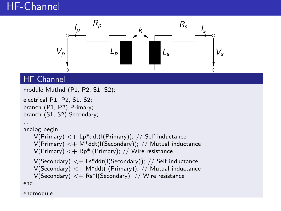## HF-Channel



## **HF-Channel**

```
module MutInd (P1, P2, S1, S2);
electrical P1, P2, S1, S2;
branch (P1, P2) Primary;
branch (S1, S2) Secondary;
. . .
analog begin
   V(Primary) < + Lp*ddt(I(Primary)); // Self inductanceV(Primary) < + M*ddt(I(Secondary)); // Mutual inductance
   V(Primary) < + Rp*I(Primary); // Wire resistance
   V(Secondary) < + Ls*ddt(I(Secondary)); // Self inductance
   V(Secondary) < + M*ddt(I(Primary)); // Mutual inductance
   V(Secondary) < + Rs*I(Secondary); // Wire resistance
end
```
<span id="page-8-0"></span>endmodule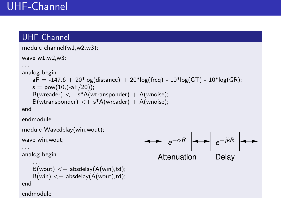## UHF-Channel

```
module channel(w1,w2,w3);
wave w1,w2,w3;
. . .
analog begin
   aF = -147.6 + 20*log(distance) + 20*log(freq) - 10*log(GT) - 10*log(GR);s = pow(10, (-aF/20));B(wreader) \lt + s^*A(wtransponder) + A(wnoise);
   B(wtransport) < + s*A(wreader) + A(wnoise);end
endmodule
module Wavedelay(win,wout);
wave win,wout;
. . .
analog begin
    . . .
   B(wout) < + absdelay(A(win),td);
   B(win) < + absdelay(A(wout),td);
end
endmodule
                                                Attenuation Delay
                                                    e^{-\alpha R} \rightarrow e^{-\alpha R}e^{-jkR}
```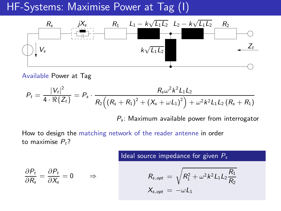HF-Systems: Maximise Power at Tag (I)



#### Available Power at Tag

$$
P_{t} = \frac{|V_{t}|^{2}}{4 \cdot \Re\{Z_{t}\}} = P_{s} \cdot \frac{R_{s}\omega^{2}k^{2}L_{1}L_{2}}{R_{2}((R_{s}+R_{1})^{2}+(X_{s}+\omega L_{1})^{2})+\omega^{2}k^{2}L_{1}L_{2}(R_{s}+R_{1})}
$$

 $P_s$ : Maximum available power from interrogator

How to design the matching network of the reader antenne in order to maximise  $P_t$ ?

<span id="page-10-0"></span>
$$
\frac{\partial P_t}{\partial R_s} = \frac{\partial P_t}{\partial X_s} = 0 \qquad \Rightarrow \qquad
$$

#### Ideal source impedance for given  $P_s$

$$
R_{s,opt} = \sqrt{R_1^2 + \omega^2 k^2 L_1 L_2 \frac{R_1}{R_2}}
$$
  

$$
X_{s,opt} = -\omega L_1
$$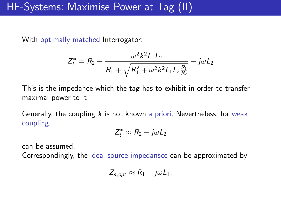## HF-Systems: Maximise Power at Tag (II)

With optimally matched Interrogator:

$$
Z_t^* = R_2 + \frac{\omega^2 k^2 L_1 L_2}{R_1 + \sqrt{R_1^2 + \omega^2 k^2 L_1 L_2 \frac{R_1}{R_2}}} - j\omega L_2
$$

This is the impedance which the tag has to exhibit in order to transfer maximal power to it

Generally, the coupling  $k$  is not known a priori. Nevertheless, for weak coupling

$$
Z_t^* \approx R_2 - j\omega L_2
$$

can be assumed.

Correspondingly, the ideal source impedansce can be approximated by

$$
Z_{s,opt} \approx R_1 - j\omega L_1.
$$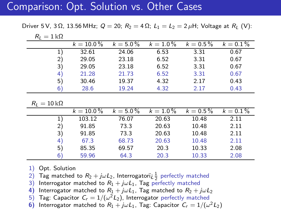## Comparison: Opt. Solution vs. Other Cases

Driver 5 V, 3 Ω, 13.56 MHz;  $Q = 20$ ;  $R_2 = 4 \Omega$ ;  $L_1 = L_2 = 2 \mu$ H; Voltage at  $R_1$  (V):

| <u>_</u> |              |             |             |             |             |
|----------|--------------|-------------|-------------|-------------|-------------|
|          | $k = 10.0\%$ | $k = 5.0\%$ | $k = 1.0\%$ | $k = 0.5\%$ | $k = 0.1\%$ |
|          | 32.61        | 24.06       | 6.53        | 3.31        | 0.67        |
| 2)       | 29.05        | 23.18       | 6.52        | 3.31        | 0.67        |
| 3)       | 29.05        | 23.18       | 6.52        | 3.31        | 0.67        |
| 4)       | 21.28        | 21.73       | 6.52        | 3.31        | 0.67        |
| 5)       | 30.46        | 19.37       | 4.32        | 2.17        | 0.43        |
| 6        | 28.6         | 19.24       | 4.32        | 2.17        | 0.43        |

 $R_l = 10 \text{ k}\Omega$ 

 $R_L = 1 \text{ k}\Omega$ 

|    | $k = 10.0\%$ | $k = 5.0\%$ | $k = 1.0\%$ | $k = 0.5\%$ | $k = 0.1\%$ |
|----|--------------|-------------|-------------|-------------|-------------|
|    | 103.12       | 76.07       | 20.63       | 10.48       | 2.11        |
| 2) | 91.85        | 73.3        | 20.63       | 10.48       | 2.11        |
| 3  | 91.85        | 73.3        | 20.63       | 10.48       | 2.11        |
| 4. | 67.3         | 68.73       | 20.63       | 10.48       | 2.11        |
| 5) | 85.35        | 69.57       | 20.3        | 10.33       | 2.08        |
| 6  | 59.96        | 64.3        | 20.3        | 10.33       | 2.08        |

1) Opt. Solution

2) Tag matched to  $R_2 + j\omega L_2$ , Interrogatori $i\frac{1}{2}$  perfectly matched

3) Interrogator matched to  $R_1 + j\omega L_1$ , Tag perfectly matched 4) Interrogator matched to  $R_1 + j\omega L_1$ . Tag matched to  $R_2 + j\omega L_1$ 

Interrogator matched to  $R_1 + j\omega L_1$ , Tag matched to  $R_2 + j\omega L_2$ 

5) Tag: Capacitor  $\mathcal{C}_r = 1/(\omega^2 L_2)$ , Interrogator perfectly matched

**6)** Interrogator matched to  $R_1 + j\omega L_1$ , Tag: Capacitor  $C_r = 1/(\omega^2 L_2)$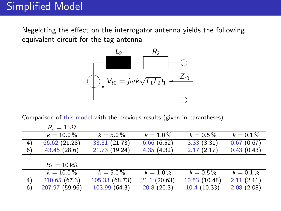$R = 110$ 

Negelcting the effect on the interrogator antenna yields the following equivalent circuit for the tag antenna



Comparison of this model with the previous results (given in parantheses):

<span id="page-13-0"></span>

|    | $\mathsf{u} = \mathsf{r} \mathsf{m}$ |                             |             |              |             |
|----|--------------------------------------|-----------------------------|-------------|--------------|-------------|
|    | $k = 10.0\%$                         | $k = 5.0\%$                 | $k = 1.0\%$ | $k = 0.5\%$  | $k = 0.1\%$ |
| 4) | 66.62 (21.28)                        | 33.31 (21.73)               | 6.66(6.52)  | 3.33(3.31)   | 0.67(0.67)  |
| 6) | 43.45(28.6)                          | 21.73 (19.24)               | 4.35(4.32)  | 2.17(2.17)   | 0.43(0.43)  |
|    |                                      |                             |             |              |             |
|    | $R_I = 10 \,\mathrm{k}\Omega$        |                             |             |              |             |
|    | $k = 10.0\%$                         | $k = 5.0\%$                 | $k = 1.0\%$ | $k = 0.5\%$  | $k = 0.1\%$ |
| 4) | 210.65(67.3)                         | $105.\overline{33}$ (68.73) | 21.1(20.63) | 10.53(10.48) | 2.11(2.11)  |
| 6) | 207.97 (59.96)                       | 103.99(64.3)                | 20.8(20.3)  | 10.4(10.33)  | 2.08(2.08)  |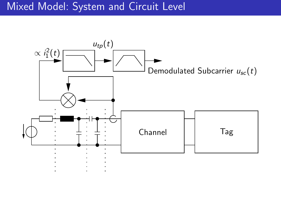## Mixed Model: System and Circuit Level

<span id="page-14-0"></span>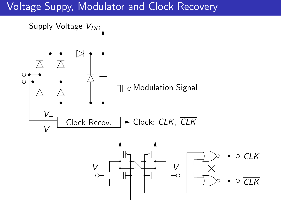# Voltage Suppy, Modulator and Clock Recovery

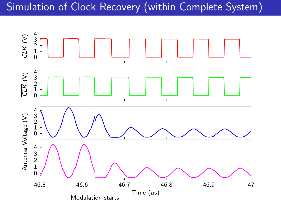# Simulation of Clock Recovery (within Complete System)

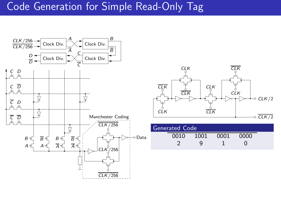## Code Generation for Simple Read-Only Tag

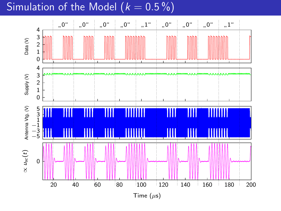## Simulation of the Model ( $k = 0.5\%$ )

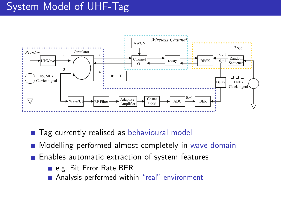## System Model of UHF-Tag



- Tag currently realised as behavioural model
- **Modelling performed almost completely in wave domain**
- <span id="page-19-0"></span>**Enables automatic extraction of system features** 
	- e.g. Bit Error Rate BER
	- Analysis performed within "real" environment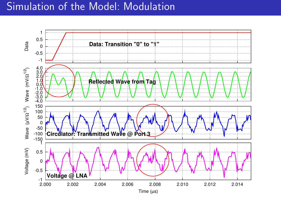## Simulation of the Model: Modulation

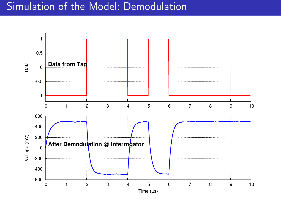## Simulation of the Model: Demodulation

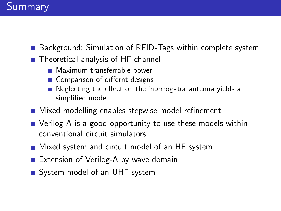## Summary

- Background: Simulation of RFID-Tags within complete system
- Theoretical analysis of HF-channel
	- **Maximum transferrable power**
	- Comparison of differnt designs
	- Neglecting the effect on the interrogator antenna yields a simplified model
- **Mixed modelling enables stepwise model refinement**
- Verilog-A is a good opportunity to use these models within conventional circuit simulators
- **Mixed system and circuit model of an HF system**
- Extension of Verilog-A by wave domain
- <span id="page-22-0"></span>System model of an UHF system